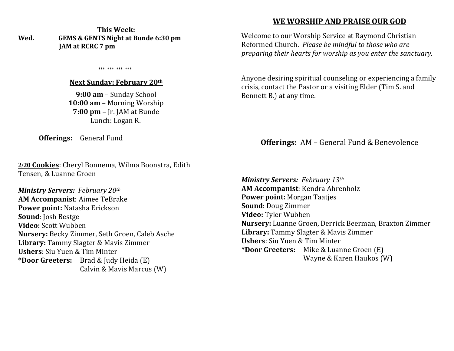**This Week: Wed. GEMS & GENTS Night at Bunde 6:30 pm JAM at RCRC 7 pm** 

\*\*\* \*\*\* \*\*\* \*\*\*

#### **Next Sunday: February 20th**

**9:00 am** – Sunday School **10:00 am** – Morning Worship **7:00 pm** – Jr. JAM at Bunde Lunch: Logan R.

**Offerings:** General Fund

**2/20 Cookies**: Cheryl Bonnema, Wilma Boonstra, Edith Tensen, & Luanne Groen

*Ministry Servers: February 20th*  **AM Accompanist**: Aimee TeBrake **Power point:** Natasha Erickson **Sound**: Josh Bestge **Video:** Scott Wubben **Nursery:** Becky Zimmer, Seth Groen, Caleb Asche **Library:** Tammy Slagter & Mavis Zimmer **Ushers**: Siu Yuen & Tim Minter **\*Door Greeters:** Brad & Judy Heida (E) Calvin & Mavis Marcus (W)

## **WE WORSHIP AND PRAISE OUR GOD**

Welcome to our Worship Service at Raymond Christian Reformed Church. *Please be mindful to those who are preparing their hearts for worship as you enter the sanctuary.*

Anyone desiring spiritual counseling or experiencing a family crisis, contact the Pastor or a visiting Elder (Tim S. and Bennett B.) at any time.

## **Offerings:** AM – General Fund & Benevolence

*Ministry Servers: February 13th*  **AM Accompanist**: Kendra Ahrenholz **Power point:** Morgan Taatjes **Sound**: Doug Zimmer **Video:** Tyler Wubben **Nursery:** Luanne Groen, Derrick Beerman, Braxton Zimmer **Library:** Tammy Slagter & Mavis Zimmer **Ushers**: Siu Yuen & Tim Minter **\*Door Greeters:** Mike & Luanne Groen (E) Wayne & Karen Haukos (W)